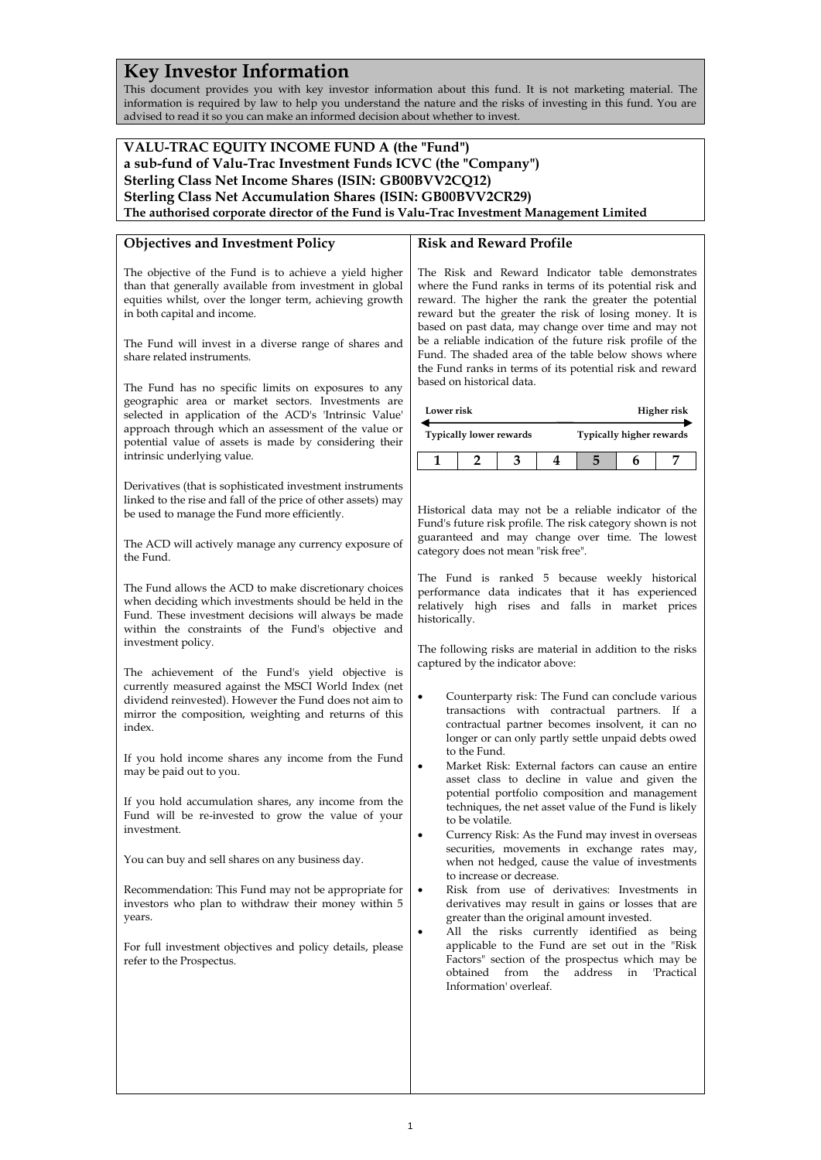# **Key Investor Information**

This document provides you with key investor information about this fund. It is not marketing material. The information is required by law to help you understand the nature and the risks of investing in this fund. You are advised to read it so you can make an informed decision about whether to invest.

## **VALU-TRAC EQUITY INCOME FUND A (the "Fund") a sub-fund of Valu-Trac Investment Funds ICVC (the "Company") Sterling Class Net Income Shares (ISIN: GB00BVV2CQ12) Sterling Class Net Accumulation Shares (ISIN: GB00BVV2CR29) The authorised corporate director of the Fund is Valu-Trac Investment Management Limited**

### **Objectives and Investment Policy**

The objective of the Fund is to achieve a yield higher than that generally available from investment in global equities whilst, over the longer term, achieving growth in both capital and income.

The Fund will invest in a diverse range of shares and share related instruments.

The Fund has no specific limits on exposures to any geographic area or market sectors. Investments are selected in application of the ACD's 'Intrinsic Value' approach through which an assessment of the value or potential value of assets is made by considering their intrinsic underlying value.

Derivatives (that is sophisticated investment instruments linked to the rise and fall of the price of other assets) may be used to manage the Fund more efficiently.

The ACD will actively manage any currency exposure of the Fund.

The Fund allows the ACD to make discretionary choices when deciding which investments should be held in the Fund. These investment decisions will always be made within the constraints of the Fund's objective and investment policy.

The achievement of the Fund's yield objective is currently measured against the MSCI World Index (net dividend reinvested). However the Fund does not aim to mirror the composition, weighting and returns of this index.

If you hold income shares any income from the Fund may be paid out to you.

If you hold accumulation shares, any income from the Fund will be re-invested to grow the value of your investment.

You can buy and sell shares on any business day.

Recommendation: This Fund may not be appropriate for investors who plan to withdraw their money within 5 years.

For full investment objectives and policy details, please refer to the Prospectus.

### **Risk and Reward Profile**

The Risk and Reward Indicator table demonstrates where the Fund ranks in terms of its potential risk and reward. The higher the rank the greater the potential reward but the greater the risk of losing money. It is based on past data, may change over time and may not be a reliable indication of the future risk profile of the Fund. The shaded area of the table below shows where the Fund ranks in terms of its potential risk and reward based on historical data.

| Lower risk                     |  |  |  | Higher risk              |  |  |
|--------------------------------|--|--|--|--------------------------|--|--|
| <b>Typically lower rewards</b> |  |  |  | Typically higher rewards |  |  |
|                                |  |  |  |                          |  |  |

Historical data may not be a reliable indicator of the Fund's future risk profile. The risk category shown is not guaranteed and may change over time. The lowest category does not mean "risk free".

The Fund is ranked 5 because weekly historical performance data indicates that it has experienced relatively high rises and falls in market prices historically.

The following risks are material in addition to the risks captured by the indicator above:

- Counterparty risk: The Fund can conclude various transactions with contractual partners. If a contractual partner becomes insolvent, it can no longer or can only partly settle unpaid debts owed to the Fund.
- Market Risk: External factors can cause an entire asset class to decline in value and given the potential portfolio composition and management techniques, the net asset value of the Fund is likely to be volatile.
- Currency Risk: As the Fund may invest in overseas securities, movements in exchange rates may, when not hedged, cause the value of investments to increase or decrease.
- Risk from use of derivatives: Investments in derivatives may result in gains or losses that are greater than the original amount invested.
- All the risks currently identified as being applicable to the Fund are set out in the "Risk Factors" section of the prospectus which may be obtained from the address in 'Practical Information' overleaf.